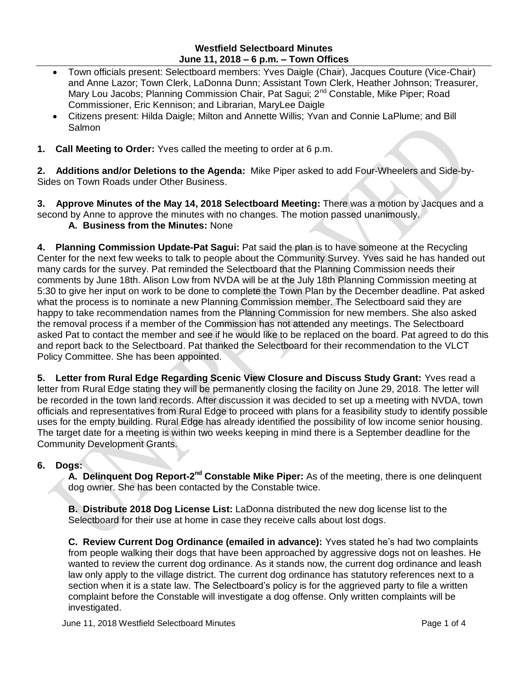## **Westfield Selectboard Minutes June 11, 2018 – 6 p.m. – Town Offices**

- Town officials present: Selectboard members: Yves Daigle (Chair), Jacques Couture (Vice-Chair) and Anne Lazor; Town Clerk, LaDonna Dunn; Assistant Town Clerk, Heather Johnson; Treasurer, Mary Lou Jacobs; Planning Commission Chair, Pat Sagui; 2<sup>nd</sup> Constable, Mike Piper; Road Commissioner, Eric Kennison; and Librarian, MaryLee Daigle
- Citizens present: Hilda Daigle; Milton and Annette Willis; Yvan and Connie LaPlume; and Bill **Salmon**
- **1. Call Meeting to Order:** Yves called the meeting to order at 6 p.m.

**2. Additions and/or Deletions to the Agenda:** Mike Piper asked to add Four-Wheelers and Side-by-Sides on Town Roads under Other Business.

**3. Approve Minutes of the May 14, 2018 Selectboard Meeting:** There was a motion by Jacques and a second by Anne to approve the minutes with no changes. The motion passed unanimously.

# **A. Business from the Minutes:** None

**4. Planning Commission Update-Pat Sagui:** Pat said the plan is to have someone at the Recycling Center for the next few weeks to talk to people about the Community Survey. Yves said he has handed out many cards for the survey. Pat reminded the Selectboard that the Planning Commission needs their comments by June 18th. Alison Low from NVDA will be at the July 18th Planning Commission meeting at 5:30 to give her input on work to be done to complete the Town Plan by the December deadline. Pat asked what the process is to nominate a new Planning Commission member. The Selectboard said they are happy to take recommendation names from the Planning Commission for new members. She also asked the removal process if a member of the Commission has not attended any meetings. The Selectboard asked Pat to contact the member and see if he would like to be replaced on the board. Pat agreed to do this and report back to the Selectboard. Pat thanked the Selectboard for their recommendation to the VLCT Policy Committee. She has been appointed.

**5. Letter from Rural Edge Regarding Scenic View Closure and Discuss Study Grant:** Yves read a letter from Rural Edge stating they will be permanently closing the facility on June 29, 2018. The letter will be recorded in the town land records. After discussion it was decided to set up a meeting with NVDA, town officials and representatives from Rural Edge to proceed with plans for a feasibility study to identify possible uses for the empty building. Rural Edge has already identified the possibility of low income senior housing. The target date for a meeting is within two weeks keeping in mind there is a September deadline for the Community Development Grants.

#### **6. Dogs:**

A. Delinquent Dog Report-2<sup>nd</sup> Constable Mike Piper: As of the meeting, there is one delinquent dog owner. She has been contacted by the Constable twice.

**B. Distribute 2018 Dog License List:** LaDonna distributed the new dog license list to the Selectboard for their use at home in case they receive calls about lost dogs.

**C. Review Current Dog Ordinance (emailed in advance):** Yves stated he's had two complaints from people walking their dogs that have been approached by aggressive dogs not on leashes. He wanted to review the current dog ordinance. As it stands now, the current dog ordinance and leash law only apply to the village district. The current dog ordinance has statutory references next to a section when it is a state law. The Selectboard's policy is for the aggrieved party to file a written complaint before the Constable will investigate a dog offense. Only written complaints will be investigated.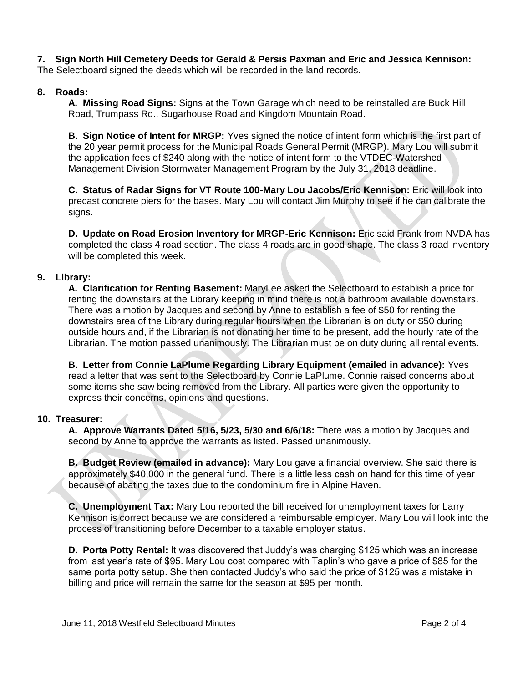**7. Sign North Hill Cemetery Deeds for Gerald & Persis Paxman and Eric and Jessica Kennison:**  The Selectboard signed the deeds which will be recorded in the land records.

# **8. Roads:**

**A. Missing Road Signs:** Signs at the Town Garage which need to be reinstalled are Buck Hill Road, Trumpass Rd., Sugarhouse Road and Kingdom Mountain Road.

**B. Sign Notice of Intent for MRGP:** Yves signed the notice of intent form which is the first part of the 20 year permit process for the Municipal Roads General Permit (MRGP). Mary Lou will submit the application fees of \$240 along with the notice of intent form to the VTDEC-Watershed Management Division Stormwater Management Program by the July 31, 2018 deadline.

**C. Status of Radar Signs for VT Route 100-Mary Lou Jacobs/Eric Kennison:** Eric will look into precast concrete piers for the bases. Mary Lou will contact Jim Murphy to see if he can calibrate the signs.

**D. Update on Road Erosion Inventory for MRGP-Eric Kennison:** Eric said Frank from NVDA has completed the class 4 road section. The class 4 roads are in good shape. The class 3 road inventory will be completed this week.

# **9. Library:**

**A. Clarification for Renting Basement:** MaryLee asked the Selectboard to establish a price for renting the downstairs at the Library keeping in mind there is not a bathroom available downstairs. There was a motion by Jacques and second by Anne to establish a fee of \$50 for renting the downstairs area of the Library during regular hours when the Librarian is on duty or \$50 during outside hours and, if the Librarian is not donating her time to be present, add the hourly rate of the Librarian. The motion passed unanimously. The Librarian must be on duty during all rental events.

**B. Letter from Connie LaPlume Regarding Library Equipment (emailed in advance):** Yves read a letter that was sent to the Selectboard by Connie LaPlume. Connie raised concerns about some items she saw being removed from the Library. All parties were given the opportunity to express their concerns, opinions and questions.

## **10. Treasurer:**

**A. Approve Warrants Dated 5/16, 5/23, 5/30 and 6/6/18:** There was a motion by Jacques and second by Anne to approve the warrants as listed. Passed unanimously.

**B. Budget Review (emailed in advance):** Mary Lou gave a financial overview. She said there is approximately \$40,000 in the general fund. There is a little less cash on hand for this time of year because of abating the taxes due to the condominium fire in Alpine Haven.

**C. Unemployment Tax:** Mary Lou reported the bill received for unemployment taxes for Larry Kennison is correct because we are considered a reimbursable employer. Mary Lou will look into the process of transitioning before December to a taxable employer status.

**D. Porta Potty Rental:** It was discovered that Juddy's was charging \$125 which was an increase from last year's rate of \$95. Mary Lou cost compared with Taplin's who gave a price of \$85 for the same porta potty setup. She then contacted Juddy's who said the price of \$125 was a mistake in billing and price will remain the same for the season at \$95 per month.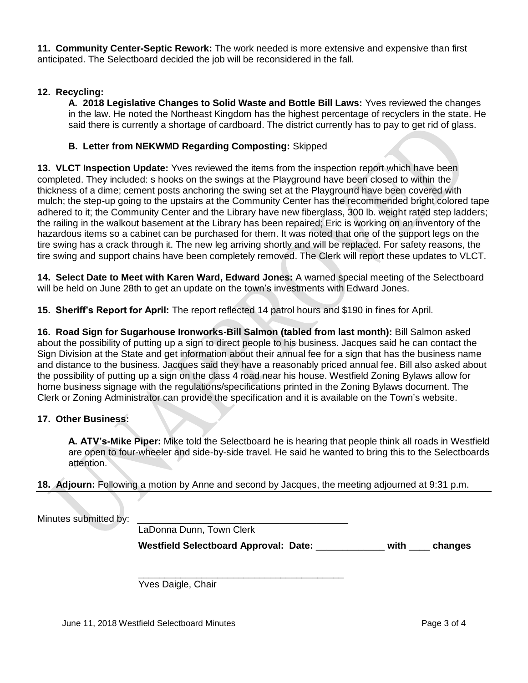**11. Community Center-Septic Rework:** The work needed is more extensive and expensive than first anticipated. The Selectboard decided the job will be reconsidered in the fall.

## **12. Recycling:**

**A. 2018 Legislative Changes to Solid Waste and Bottle Bill Laws:** Yves reviewed the changes in the law. He noted the Northeast Kingdom has the highest percentage of recyclers in the state. He said there is currently a shortage of cardboard. The district currently has to pay to get rid of glass.

### **B. Letter from NEKWMD Regarding Composting:** Skipped

**13. VLCT Inspection Update:** Yves reviewed the items from the inspection report which have been completed. They included: s hooks on the swings at the Playground have been closed to within the thickness of a dime; cement posts anchoring the swing set at the Playground have been covered with mulch; the step-up going to the upstairs at the Community Center has the recommended bright colored tape adhered to it; the Community Center and the Library have new fiberglass, 300 lb. weight rated step ladders; the railing in the walkout basement at the Library has been repaired; Eric is working on an inventory of the hazardous items so a cabinet can be purchased for them. It was noted that one of the support legs on the tire swing has a crack through it. The new leg arriving shortly and will be replaced. For safety reasons, the tire swing and support chains have been completely removed. The Clerk will report these updates to VLCT.

**14. Select Date to Meet with Karen Ward, Edward Jones:** A warned special meeting of the Selectboard will be held on June 28th to get an update on the town's investments with Edward Jones.

**15. Sheriff's Report for April:** The report reflected 14 patrol hours and \$190 in fines for April.

**16. Road Sign for Sugarhouse Ironworks-Bill Salmon (tabled from last month):** Bill Salmon asked about the possibility of putting up a sign to direct people to his business. Jacques said he can contact the Sign Division at the State and get information about their annual fee for a sign that has the business name and distance to the business. Jacques said they have a reasonably priced annual fee. Bill also asked about the possibility of putting up a sign on the class 4 road near his house. Westfield Zoning Bylaws allow for home business signage with the regulations/specifications printed in the Zoning Bylaws document. The Clerk or Zoning Administrator can provide the specification and it is available on the Town's website.

#### **17. Other Business:**

**A. ATV's-Mike Piper:** Mike told the Selectboard he is hearing that people think all roads in Westfield are open to four-wheeler and side-by-side travel. He said he wanted to bring this to the Selectboards attention.

#### **18. Adjourn:** Following a motion by Anne and second by Jacques, the meeting adjourned at 9:31 p.m.

 $\overline{\phantom{a}}$  , and the set of the set of the set of the set of the set of the set of the set of the set of the set of the set of the set of the set of the set of the set of the set of the set of the set of the set of the s

Minutes submitted by:

LaDonna Dunn, Town Clerk

 **Westfield Selectboard Approval: Date:** \_\_\_\_\_\_\_\_\_\_\_\_\_ **with** \_\_\_\_ **changes**

Yves Daigle, Chair